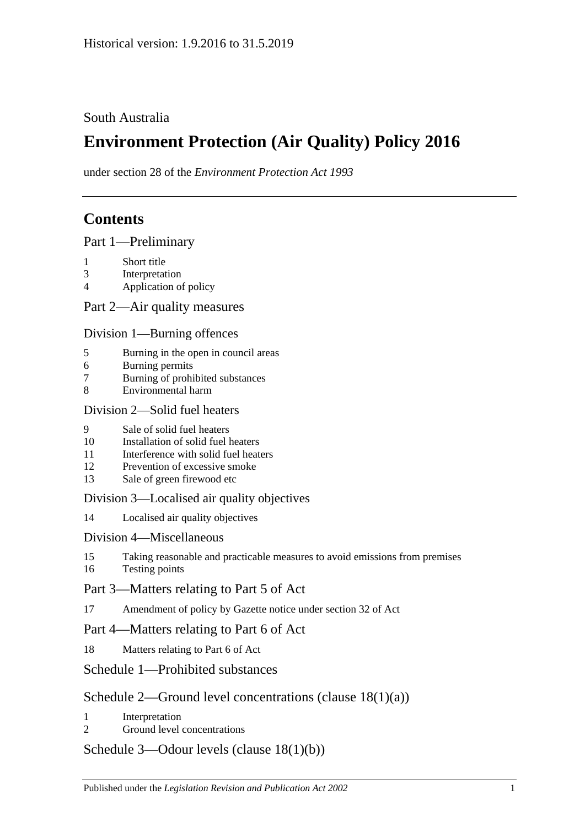## South Australia

# **Environment Protection (Air Quality) Policy 2016**

under section 28 of the *Environment Protection Act 1993*

## **Contents**

Part [1—Preliminary](#page-1-0)

- 1 [Short title](#page-1-1)
- 3 [Interpretation](#page-1-2)
- 4 [Application of policy](#page-3-0)

Part [2—Air quality measures](#page-4-0)

#### Division [1—Burning offences](#page-4-1)

- 5 [Burning in the open in council areas](#page-4-2)
- 6 [Burning permits](#page-5-0)
- 7 [Burning of prohibited substances](#page-7-0)
- 8 [Environmental harm](#page-7-1)

#### Division [2—Solid fuel heaters](#page-7-2)

- 9 [Sale of solid fuel heaters](#page-7-3)
- 10 [Installation of solid fuel heaters](#page-7-4)
- 11 [Interference with solid fuel heaters](#page-8-0)
- 12 [Prevention of excessive smoke](#page-8-1)
- 13 [Sale of green firewood etc](#page-8-2)

### Division [3—Localised air quality objectives](#page-9-0)

14 [Localised air quality objectives](#page-9-1)

### Division [4—Miscellaneous](#page-10-0)

- 15 [Taking reasonable and practicable measures to avoid emissions from premises](#page-10-1)
- 16 [Testing points](#page-10-2)

## Part [3—Matters relating to Part 5 of Act](#page-10-3)

17 [Amendment of policy by Gazette notice under section](#page-10-4) 32 of Act

### Part [4—Matters relating to Part 6 of Act](#page-11-0)

18 [Matters relating to Part 6 of Act](#page-11-1)

## Schedule [1—Prohibited substances](#page-12-0)

## Schedule [2—Ground level concentrations \(clause](#page-13-0) [18\(1\)\(a\)\)](#page-13-0)

- 1 [Interpretation](#page-13-1)
- 2 [Ground level concentrations](#page-13-2)

### Schedule [3—Odour levels \(clause](#page-20-0) [18\(1\)\(b\)\)](#page-20-0)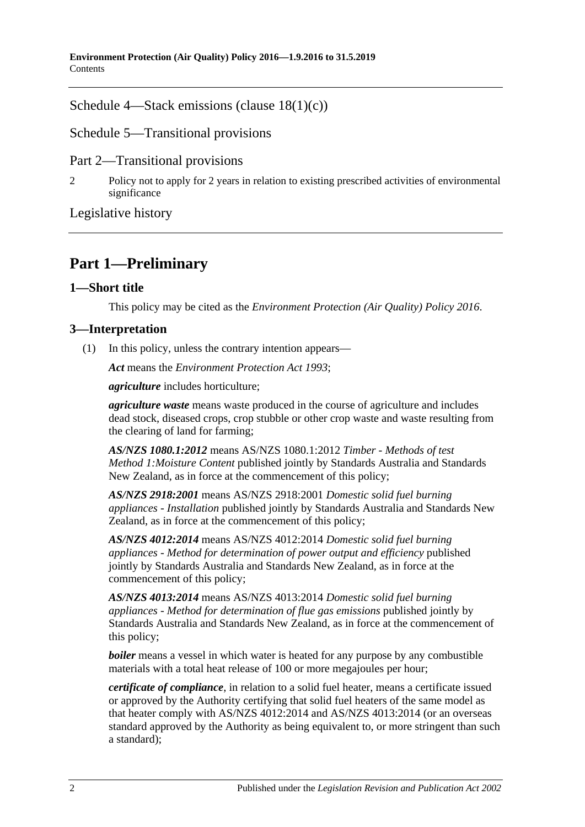Schedule [4—Stack emissions \(clause](#page-20-1) [18\(1\)\(c\)\)](#page-20-1)

Schedule [5—Transitional provisions](#page-22-0)

Part 2—Transitional provisions

2 [Policy not to apply for 2 years in relation to existing prescribed activities of environmental](#page-22-1)  [significance](#page-22-1)

[Legislative history](#page-23-0)

## <span id="page-1-0"></span>**Part 1—Preliminary**

## <span id="page-1-1"></span>**1—Short title**

This policy may be cited as the *[Environment Protection \(Air Quality\) Policy](http://www.legislation.sa.gov.au/index.aspx?action=legref&type=subordleg&legtitle=Environment%20Protection%20(Air%20Quality)%20Policy%202016) 2016*.

## <span id="page-1-2"></span>**3—Interpretation**

(1) In this policy, unless the contrary intention appears—

*Act* means the *[Environment Protection Act](http://www.legislation.sa.gov.au/index.aspx?action=legref&type=act&legtitle=Environment%20Protection%20Act%201993) 1993*;

*agriculture* includes horticulture;

*agriculture waste* means waste produced in the course of agriculture and includes dead stock, diseased crops, crop stubble or other crop waste and waste resulting from the clearing of land for farming;

*AS/NZS 1080.1:2012* means AS/NZS 1080.1:2012 *Timber - Methods of test Method 1:Moisture Content* published jointly by Standards Australia and Standards New Zealand, as in force at the commencement of this policy;

*AS/NZS 2918:2001* means AS/NZS 2918:2001 *Domestic solid fuel burning appliances - Installation* published jointly by Standards Australia and Standards New Zealand, as in force at the commencement of this policy;

*AS/NZS 4012:2014* means AS/NZS 4012:2014 *Domestic solid fuel burning appliances - Method for determination of power output and efficiency* published jointly by Standards Australia and Standards New Zealand, as in force at the commencement of this policy;

*AS/NZS 4013:2014* means AS/NZS 4013:2014 *Domestic solid fuel burning appliances - Method for determination of flue gas emissions* published jointly by Standards Australia and Standards New Zealand, as in force at the commencement of this policy;

*boiler* means a vessel in which water is heated for any purpose by any combustible materials with a total heat release of 100 or more megajoules per hour;

*certificate of compliance*, in relation to a solid fuel heater, means a certificate issued or approved by the Authority certifying that solid fuel heaters of the same model as that heater comply with AS/NZS 4012:2014 and AS/NZS 4013:2014 (or an overseas standard approved by the Authority as being equivalent to, or more stringent than such a standard);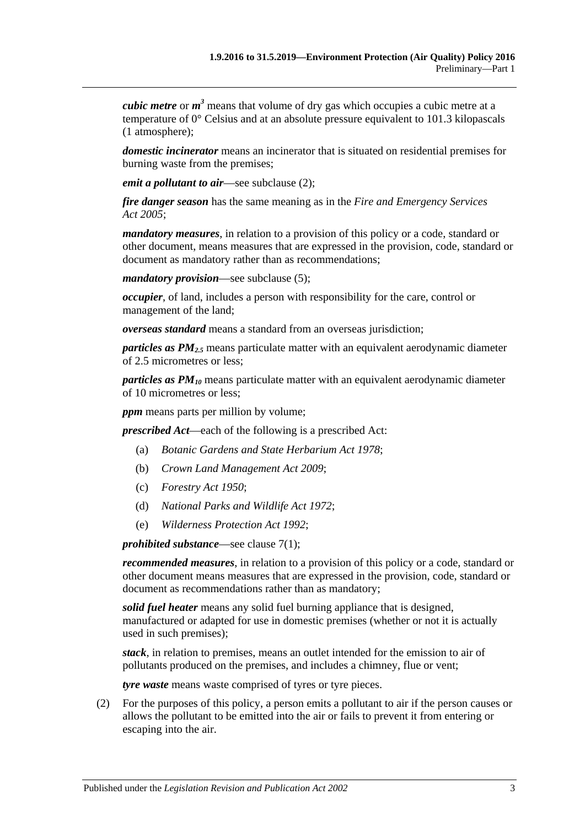*cubic metre* or *m <sup>3</sup>* means that volume of dry gas which occupies a cubic metre at a temperature of 0° Celsius and at an absolute pressure equivalent to 101.3 kilopascals (1 atmosphere);

*domestic incinerator* means an incinerator that is situated on residential premises for burning waste from the premises;

*emit a pollutant to air*—see [subclause](#page-2-0) (2);

*fire danger season* has the same meaning as in the *[Fire and Emergency Services](http://www.legislation.sa.gov.au/index.aspx?action=legref&type=act&legtitle=Fire%20and%20Emergency%20Services%20Act%202005)  Act [2005](http://www.legislation.sa.gov.au/index.aspx?action=legref&type=act&legtitle=Fire%20and%20Emergency%20Services%20Act%202005)*;

*mandatory measures*, in relation to a provision of this policy or a code, standard or other document, means measures that are expressed in the provision, code, standard or document as mandatory rather than as recommendations;

*mandatory provision*—see [subclause](#page-3-1) (5);

*occupier*, of land, includes a person with responsibility for the care, control or management of the land;

*overseas standard* means a standard from an overseas jurisdiction;

*particles as PM2.5* means particulate matter with an equivalent aerodynamic diameter of 2.5 micrometres or less;

*particles as PM10* means particulate matter with an equivalent aerodynamic diameter of 10 micrometres or less;

*ppm* means parts per million by volume;

*prescribed Act*—each of the following is a prescribed Act:

- (a) *[Botanic Gardens and State Herbarium Act](http://www.legislation.sa.gov.au/index.aspx?action=legref&type=act&legtitle=Botanic%20Gardens%20and%20State%20Herbarium%20Act%201978) 1978*;
- (b) *[Crown Land Management Act](http://www.legislation.sa.gov.au/index.aspx?action=legref&type=act&legtitle=Crown%20Land%20Management%20Act%202009) 2009*;
- (c) *[Forestry Act](http://www.legislation.sa.gov.au/index.aspx?action=legref&type=act&legtitle=Forestry%20Act%201950) 1950*;
- (d) *[National Parks and Wildlife Act](http://www.legislation.sa.gov.au/index.aspx?action=legref&type=act&legtitle=National%20Parks%20and%20Wildlife%20Act%201972) 1972*;
- (e) *[Wilderness Protection Act](http://www.legislation.sa.gov.au/index.aspx?action=legref&type=act&legtitle=Wilderness%20Protection%20Act%201992) 1992*;

*prohibited substance*—see [clause](#page-7-5) 7(1);

*recommended measures*, in relation to a provision of this policy or a code, standard or other document means measures that are expressed in the provision, code, standard or document as recommendations rather than as mandatory;

*solid fuel heater* means any solid fuel burning appliance that is designed, manufactured or adapted for use in domestic premises (whether or not it is actually used in such premises);

*stack*, in relation to premises, means an outlet intended for the emission to air of pollutants produced on the premises, and includes a chimney, flue or vent;

*tyre waste* means waste comprised of tyres or tyre pieces.

<span id="page-2-0"></span>(2) For the purposes of this policy, a person emits a pollutant to air if the person causes or allows the pollutant to be emitted into the air or fails to prevent it from entering or escaping into the air.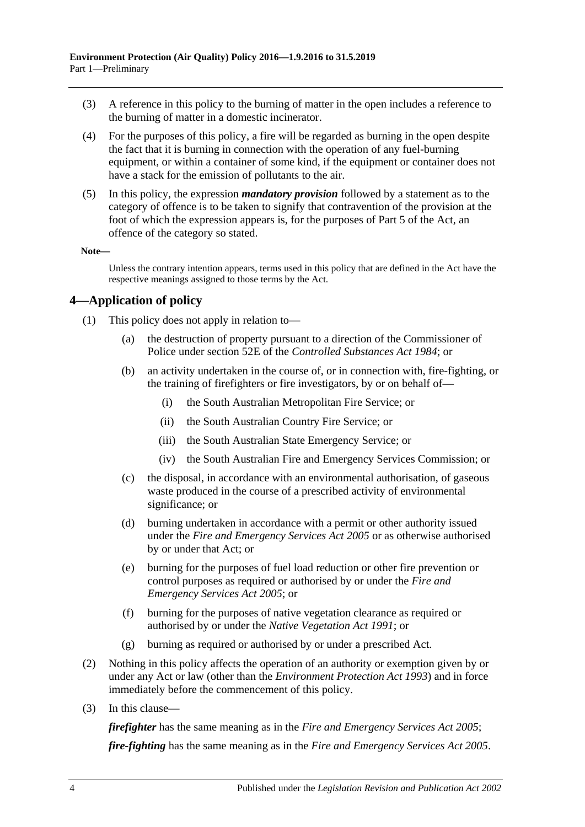- (3) A reference in this policy to the burning of matter in the open includes a reference to the burning of matter in a domestic incinerator.
- (4) For the purposes of this policy, a fire will be regarded as burning in the open despite the fact that it is burning in connection with the operation of any fuel-burning equipment, or within a container of some kind, if the equipment or container does not have a stack for the emission of pollutants to the air.
- <span id="page-3-1"></span>(5) In this policy, the expression *mandatory provision* followed by a statement as to the category of offence is to be taken to signify that contravention of the provision at the foot of which the expression appears is, for the purposes of Part 5 of the Act, an offence of the category so stated.

#### **Note—**

Unless the contrary intention appears, terms used in this policy that are defined in the Act have the respective meanings assigned to those terms by the Act.

### <span id="page-3-0"></span>**4—Application of policy**

- (1) This policy does not apply in relation to—
	- (a) the destruction of property pursuant to a direction of the Commissioner of Police under section 52E of the *[Controlled Substances Act](http://www.legislation.sa.gov.au/index.aspx?action=legref&type=act&legtitle=Controlled%20Substances%20Act%201984) 1984*; or
	- (b) an activity undertaken in the course of, or in connection with, fire-fighting, or the training of firefighters or fire investigators, by or on behalf of—
		- (i) the South Australian Metropolitan Fire Service; or
		- (ii) the South Australian Country Fire Service; or
		- (iii) the South Australian State Emergency Service; or
		- (iv) the South Australian Fire and Emergency Services Commission; or
	- (c) the disposal, in accordance with an environmental authorisation, of gaseous waste produced in the course of a prescribed activity of environmental significance; or
	- (d) burning undertaken in accordance with a permit or other authority issued under the *[Fire and Emergency Services Act](http://www.legislation.sa.gov.au/index.aspx?action=legref&type=act&legtitle=Fire%20and%20Emergency%20Services%20Act%202005) 2005* or as otherwise authorised by or under that Act; or
	- (e) burning for the purposes of fuel load reduction or other fire prevention or control purposes as required or authorised by or under the *[Fire and](http://www.legislation.sa.gov.au/index.aspx?action=legref&type=act&legtitle=Fire%20and%20Emergency%20Services%20Act%202005)  [Emergency Services Act](http://www.legislation.sa.gov.au/index.aspx?action=legref&type=act&legtitle=Fire%20and%20Emergency%20Services%20Act%202005) 2005*; or
	- (f) burning for the purposes of native vegetation clearance as required or authorised by or under the *[Native Vegetation Act](http://www.legislation.sa.gov.au/index.aspx?action=legref&type=act&legtitle=Native%20Vegetation%20Act%201991) 1991*; or
	- (g) burning as required or authorised by or under a prescribed Act.
- (2) Nothing in this policy affects the operation of an authority or exemption given by or under any Act or law (other than the *[Environment Protection Act](http://www.legislation.sa.gov.au/index.aspx?action=legref&type=act&legtitle=Environment%20Protection%20Act%201993) 1993*) and in force immediately before the commencement of this policy.
- (3) In this clause—

*firefighter* has the same meaning as in the *[Fire and Emergency Services Act](http://www.legislation.sa.gov.au/index.aspx?action=legref&type=act&legtitle=Fire%20and%20Emergency%20Services%20Act%202005) 2005*;

*fire-fighting* has the same meaning as in the *[Fire and Emergency Services Act](http://www.legislation.sa.gov.au/index.aspx?action=legref&type=act&legtitle=Fire%20and%20Emergency%20Services%20Act%202005) 2005*.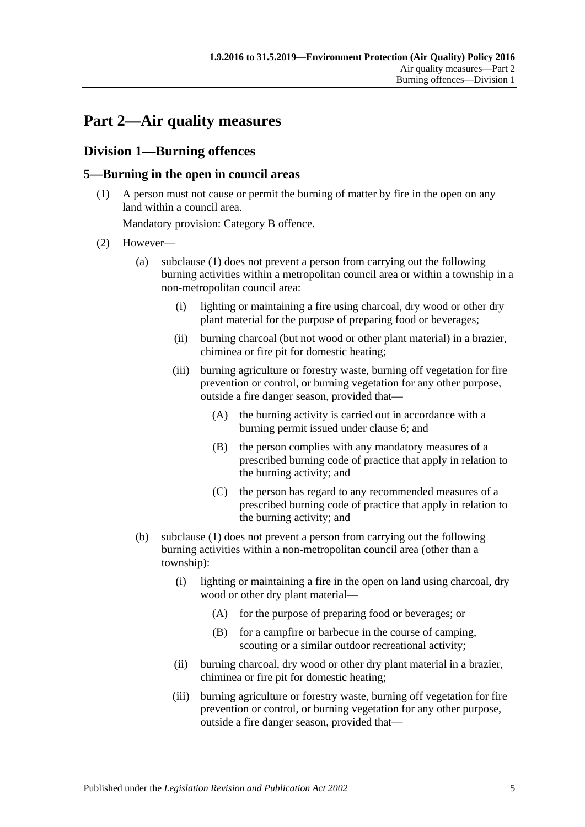## <span id="page-4-0"></span>**Part 2—Air quality measures**

## <span id="page-4-1"></span>**Division 1—Burning offences**

## <span id="page-4-3"></span><span id="page-4-2"></span>**5—Burning in the open in council areas**

(1) A person must not cause or permit the burning of matter by fire in the open on any land within a council area.

Mandatory provision: Category B offence.

- <span id="page-4-5"></span><span id="page-4-4"></span>(2) However—
	- (a) [subclause](#page-4-3) (1) does not prevent a person from carrying out the following burning activities within a metropolitan council area or within a township in a non-metropolitan council area:
		- (i) lighting or maintaining a fire using charcoal, dry wood or other dry plant material for the purpose of preparing food or beverages;
		- (ii) burning charcoal (but not wood or other plant material) in a brazier, chiminea or fire pit for domestic heating;
		- (iii) burning agriculture or forestry waste, burning off vegetation for fire prevention or control, or burning vegetation for any other purpose, outside a fire danger season, provided that—
			- (A) the burning activity is carried out in accordance with a burning permit issued under [clause](#page-5-0) 6; and
			- (B) the person complies with any mandatory measures of a prescribed burning code of practice that apply in relation to the burning activity; and
			- (C) the person has regard to any recommended measures of a prescribed burning code of practice that apply in relation to the burning activity; and
	- (b) [subclause](#page-4-3) (1) does not prevent a person from carrying out the following burning activities within a non-metropolitan council area (other than a township):
		- (i) lighting or maintaining a fire in the open on land using charcoal, dry wood or other dry plant material—
			- (A) for the purpose of preparing food or beverages; or
			- (B) for a campfire or barbecue in the course of camping, scouting or a similar outdoor recreational activity;
		- (ii) burning charcoal, dry wood or other dry plant material in a brazier, chiminea or fire pit for domestic heating;
		- (iii) burning agriculture or forestry waste, burning off vegetation for fire prevention or control, or burning vegetation for any other purpose, outside a fire danger season, provided that—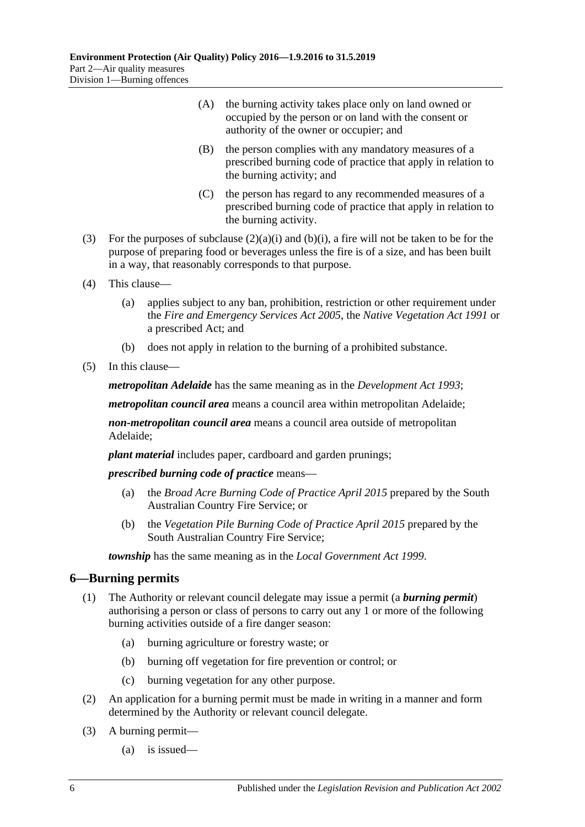- (A) the burning activity takes place only on land owned or occupied by the person or on land with the consent or authority of the owner or occupier; and
- (B) the person complies with any mandatory measures of a prescribed burning code of practice that apply in relation to the burning activity; and
- (C) the person has regard to any recommended measures of a prescribed burning code of practice that apply in relation to the burning activity.
- (3) For the purposes of [subclause](#page-4-4)  $(2)(a)(i)$  and  $(b)(i)$ , a fire will not be taken to be for the purpose of preparing food or beverages unless the fire is of a size, and has been built in a way, that reasonably corresponds to that purpose.
- (4) This clause—
	- (a) applies subject to any ban, prohibition, restriction or other requirement under the *[Fire and Emergency Services Act](http://www.legislation.sa.gov.au/index.aspx?action=legref&type=act&legtitle=Fire%20and%20Emergency%20Services%20Act%202005) 2005*, the *[Native Vegetation Act](http://www.legislation.sa.gov.au/index.aspx?action=legref&type=act&legtitle=Native%20Vegetation%20Act%201991) 1991* or a prescribed Act; and
	- (b) does not apply in relation to the burning of a prohibited substance.
- (5) In this clause—

*metropolitan Adelaide* has the same meaning as in the *[Development Act](http://www.legislation.sa.gov.au/index.aspx?action=legref&type=act&legtitle=Development%20Act%201993) 1993*;

*metropolitan council area* means a council area within metropolitan Adelaide;

*non-metropolitan council area* means a council area outside of metropolitan Adelaide;

*plant material* includes paper, cardboard and garden prunings;

*prescribed burning code of practice* means—

- (a) the *Broad Acre Burning Code of Practice April 2015* prepared by the South Australian Country Fire Service; or
- (b) the *Vegetation Pile Burning Code of Practice April 2015* prepared by the South Australian Country Fire Service;

*township* has the same meaning as in the *[Local Government Act](http://www.legislation.sa.gov.au/index.aspx?action=legref&type=act&legtitle=Local%20Government%20Act%201999) 1999*.

### <span id="page-5-0"></span>**6—Burning permits**

- (1) The Authority or relevant council delegate may issue a permit (a *burning permit*) authorising a person or class of persons to carry out any 1 or more of the following burning activities outside of a fire danger season:
	- (a) burning agriculture or forestry waste; or
	- (b) burning off vegetation for fire prevention or control; or
	- (c) burning vegetation for any other purpose.
- (2) An application for a burning permit must be made in writing in a manner and form determined by the Authority or relevant council delegate.
- <span id="page-5-1"></span>(3) A burning permit—
	- (a) is issued—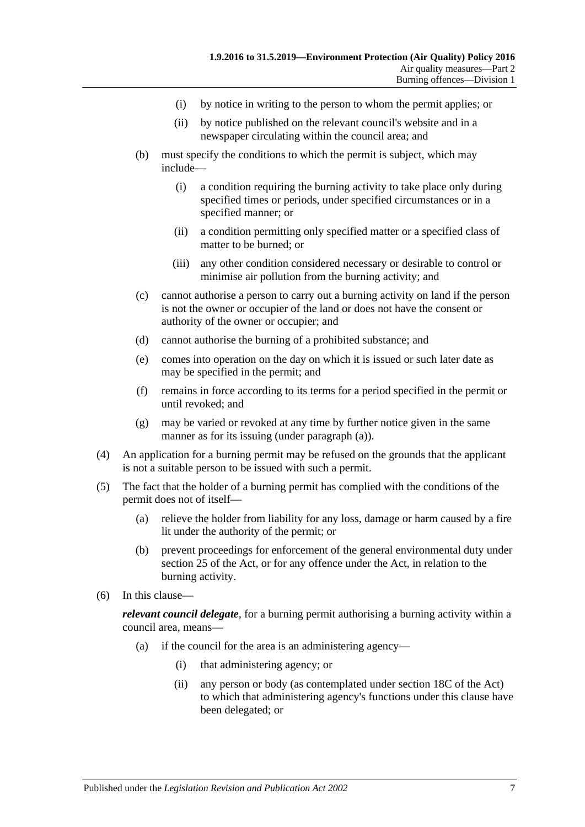- (i) by notice in writing to the person to whom the permit applies; or
- (ii) by notice published on the relevant council's website and in a newspaper circulating within the council area; and
- (b) must specify the conditions to which the permit is subject, which may include—
	- (i) a condition requiring the burning activity to take place only during specified times or periods, under specified circumstances or in a specified manner; or
	- (ii) a condition permitting only specified matter or a specified class of matter to be burned; or
	- (iii) any other condition considered necessary or desirable to control or minimise air pollution from the burning activity; and
- (c) cannot authorise a person to carry out a burning activity on land if the person is not the owner or occupier of the land or does not have the consent or authority of the owner or occupier; and
- (d) cannot authorise the burning of a prohibited substance; and
- (e) comes into operation on the day on which it is issued or such later date as may be specified in the permit; and
- (f) remains in force according to its terms for a period specified in the permit or until revoked; and
- (g) may be varied or revoked at any time by further notice given in the same manner as for its issuing (under [paragraph](#page-5-1) (a)).
- (4) An application for a burning permit may be refused on the grounds that the applicant is not a suitable person to be issued with such a permit.
- (5) The fact that the holder of a burning permit has complied with the conditions of the permit does not of itself—
	- (a) relieve the holder from liability for any loss, damage or harm caused by a fire lit under the authority of the permit; or
	- (b) prevent proceedings for enforcement of the general environmental duty under section 25 of the Act, or for any offence under the Act, in relation to the burning activity.
- (6) In this clause—

*relevant council delegate*, for a burning permit authorising a burning activity within a council area, means—

- (a) if the council for the area is an administering agency—
	- (i) that administering agency; or
	- (ii) any person or body (as contemplated under section 18C of the Act) to which that administering agency's functions under this clause have been delegated; or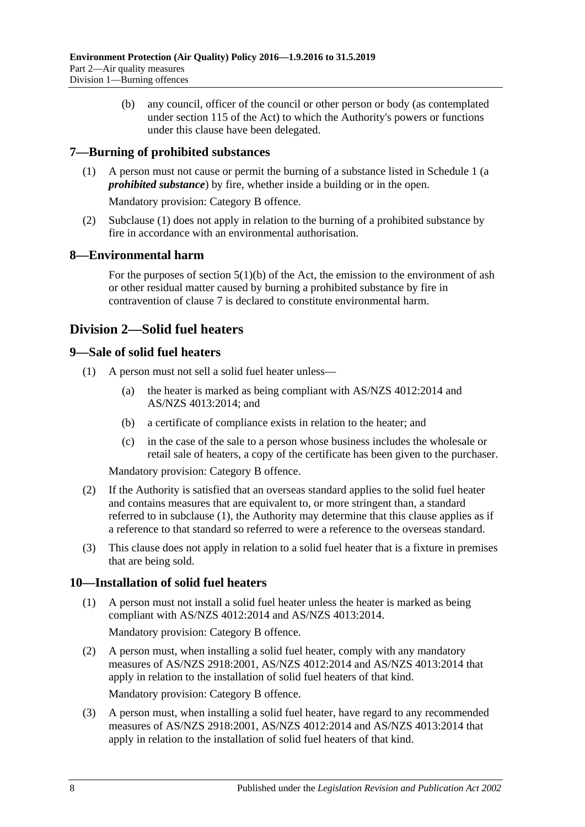(b) any council, officer of the council or other person or body (as contemplated under section 115 of the Act) to which the Authority's powers or functions under this clause have been delegated.

## <span id="page-7-5"></span><span id="page-7-0"></span>**7—Burning of prohibited substances**

(1) A person must not cause or permit the burning of a substance listed in [Schedule](#page-12-0) 1 (a *prohibited substance*) by fire, whether inside a building or in the open.

Mandatory provision: Category B offence.

(2) [Subclause](#page-7-5) (1) does not apply in relation to the burning of a prohibited substance by fire in accordance with an environmental authorisation.

## <span id="page-7-1"></span>**8—Environmental harm**

For the purposes of section  $5(1)(b)$  of the Act, the emission to the environment of ash or other residual matter caused by burning a prohibited substance by fire in contravention of [clause](#page-7-0) 7 is declared to constitute environmental harm.

## <span id="page-7-2"></span>**Division 2—Solid fuel heaters**

### <span id="page-7-6"></span><span id="page-7-3"></span>**9—Sale of solid fuel heaters**

- <span id="page-7-7"></span>(1) A person must not sell a solid fuel heater unless—
	- (a) the heater is marked as being compliant with AS/NZS 4012:2014 and AS/NZS 4013:2014; and
	- (b) a certificate of compliance exists in relation to the heater; and
	- (c) in the case of the sale to a person whose business includes the wholesale or retail sale of heaters, a copy of the certificate has been given to the purchaser.

Mandatory provision: Category B offence.

- (2) If the Authority is satisfied that an overseas standard applies to the solid fuel heater and contains measures that are equivalent to, or more stringent than, a standard referred to in [subclause](#page-7-6) (1), the Authority may determine that this clause applies as if a reference to that standard so referred to were a reference to the overseas standard.
- (3) This clause does not apply in relation to a solid fuel heater that is a fixture in premises that are being sold.

### <span id="page-7-4"></span>**10—Installation of solid fuel heaters**

(1) A person must not install a solid fuel heater unless the heater is marked as being compliant with AS/NZS 4012:2014 and AS/NZS 4013:2014.

Mandatory provision: Category B offence.

(2) A person must, when installing a solid fuel heater, comply with any mandatory measures of AS/NZS 2918:2001, AS/NZS 4012:2014 and AS/NZS 4013:2014 that apply in relation to the installation of solid fuel heaters of that kind.

Mandatory provision: Category B offence.

(3) A person must, when installing a solid fuel heater, have regard to any recommended measures of AS/NZS 2918:2001, AS/NZS 4012:2014 and AS/NZS 4013:2014 that apply in relation to the installation of solid fuel heaters of that kind.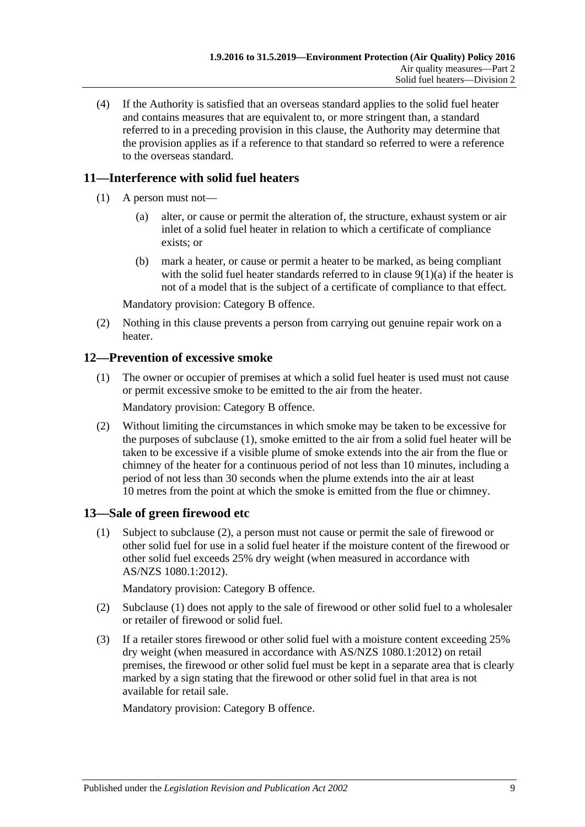(4) If the Authority is satisfied that an overseas standard applies to the solid fuel heater and contains measures that are equivalent to, or more stringent than, a standard referred to in a preceding provision in this clause, the Authority may determine that the provision applies as if a reference to that standard so referred to were a reference to the overseas standard.

## <span id="page-8-0"></span>**11—Interference with solid fuel heaters**

- (1) A person must not—
	- (a) alter, or cause or permit the alteration of, the structure, exhaust system or air inlet of a solid fuel heater in relation to which a certificate of compliance exists; or
	- (b) mark a heater, or cause or permit a heater to be marked, as being compliant with the solid fuel heater standards referred to in clause  $9(1)(a)$  if the heater is not of a model that is the subject of a certificate of compliance to that effect.

Mandatory provision: Category B offence.

(2) Nothing in this clause prevents a person from carrying out genuine repair work on a heater.

## <span id="page-8-3"></span><span id="page-8-1"></span>**12—Prevention of excessive smoke**

(1) The owner or occupier of premises at which a solid fuel heater is used must not cause or permit excessive smoke to be emitted to the air from the heater.

Mandatory provision: Category B offence.

(2) Without limiting the circumstances in which smoke may be taken to be excessive for the purposes of [subclause](#page-8-3) (1), smoke emitted to the air from a solid fuel heater will be taken to be excessive if a visible plume of smoke extends into the air from the flue or chimney of the heater for a continuous period of not less than 10 minutes, including a period of not less than 30 seconds when the plume extends into the air at least 10 metres from the point at which the smoke is emitted from the flue or chimney.

### <span id="page-8-5"></span><span id="page-8-2"></span>**13—Sale of green firewood etc**

(1) Subject to [subclause](#page-8-4) (2), a person must not cause or permit the sale of firewood or other solid fuel for use in a solid fuel heater if the moisture content of the firewood or other solid fuel exceeds 25% dry weight (when measured in accordance with AS/NZS 1080.1:2012).

Mandatory provision: Category B offence.

- <span id="page-8-4"></span>(2) [Subclause](#page-8-5) (1) does not apply to the sale of firewood or other solid fuel to a wholesaler or retailer of firewood or solid fuel.
- <span id="page-8-6"></span>(3) If a retailer stores firewood or other solid fuel with a moisture content exceeding 25% dry weight (when measured in accordance with AS/NZS 1080.1:2012) on retail premises, the firewood or other solid fuel must be kept in a separate area that is clearly marked by a sign stating that the firewood or other solid fuel in that area is not available for retail sale.

Mandatory provision: Category B offence.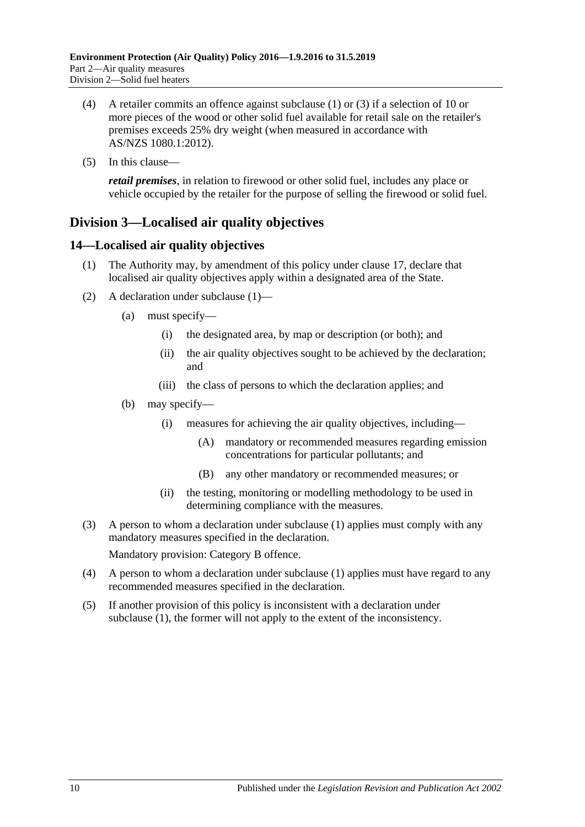- (4) A retailer commits an offence against [subclause](#page-8-5) (1) or [\(3\)](#page-8-6) if a selection of 10 or more pieces of the wood or other solid fuel available for retail sale on the retailer's premises exceeds 25% dry weight (when measured in accordance with AS/NZS 1080.1:2012).
- (5) In this clause—

*retail premises*, in relation to firewood or other solid fuel, includes any place or vehicle occupied by the retailer for the purpose of selling the firewood or solid fuel.

## <span id="page-9-0"></span>**Division 3—Localised air quality objectives**

## <span id="page-9-2"></span><span id="page-9-1"></span>**14—Localised air quality objectives**

- (1) The Authority may, by amendment of this policy under [clause](#page-10-4) 17, declare that localised air quality objectives apply within a designated area of the State.
- (2) A declaration under [subclause](#page-9-2) (1)—
	- (a) must specify—
		- (i) the designated area, by map or description (or both); and
		- (ii) the air quality objectives sought to be achieved by the declaration; and
		- (iii) the class of persons to which the declaration applies; and
	- (b) may specify—
		- (i) measures for achieving the air quality objectives, including—
			- (A) mandatory or recommended measures regarding emission concentrations for particular pollutants; and
			- (B) any other mandatory or recommended measures; or
		- (ii) the testing, monitoring or modelling methodology to be used in determining compliance with the measures.
- (3) A person to whom a declaration under [subclause](#page-9-2) (1) applies must comply with any mandatory measures specified in the declaration.

Mandatory provision: Category B offence.

- (4) A person to whom a declaration under [subclause](#page-9-2) (1) applies must have regard to any recommended measures specified in the declaration.
- (5) If another provision of this policy is inconsistent with a declaration under [subclause](#page-9-2) (1), the former will not apply to the extent of the inconsistency.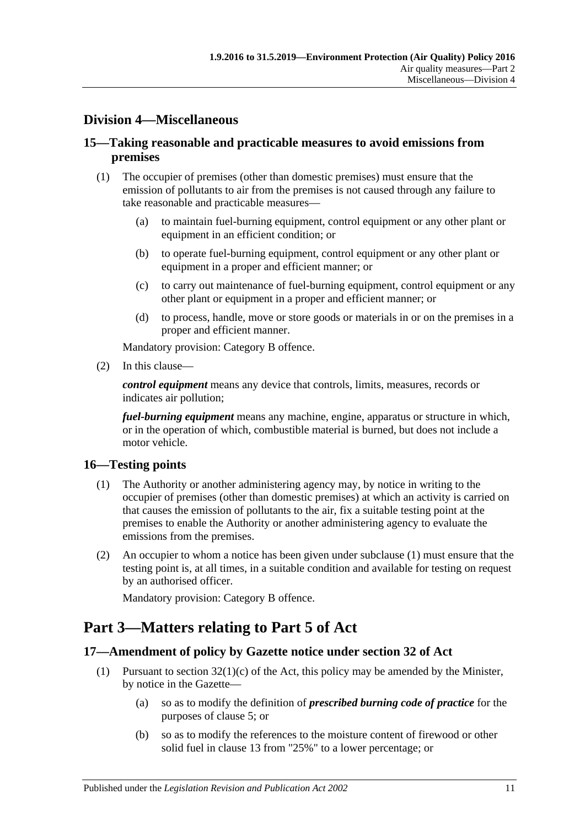## <span id="page-10-0"></span>**Division 4—Miscellaneous**

## <span id="page-10-1"></span>**15—Taking reasonable and practicable measures to avoid emissions from premises**

- (1) The occupier of premises (other than domestic premises) must ensure that the emission of pollutants to air from the premises is not caused through any failure to take reasonable and practicable measures—
	- (a) to maintain fuel-burning equipment, control equipment or any other plant or equipment in an efficient condition; or
	- (b) to operate fuel-burning equipment, control equipment or any other plant or equipment in a proper and efficient manner; or
	- (c) to carry out maintenance of fuel-burning equipment, control equipment or any other plant or equipment in a proper and efficient manner; or
	- (d) to process, handle, move or store goods or materials in or on the premises in a proper and efficient manner.

Mandatory provision: Category B offence.

(2) In this clause—

*control equipment* means any device that controls, limits, measures, records or indicates air pollution;

*fuel-burning equipment* means any machine, engine, apparatus or structure in which, or in the operation of which, combustible material is burned, but does not include a motor vehicle.

### <span id="page-10-5"></span><span id="page-10-2"></span>**16—Testing points**

- (1) The Authority or another administering agency may, by notice in writing to the occupier of premises (other than domestic premises) at which an activity is carried on that causes the emission of pollutants to the air, fix a suitable testing point at the premises to enable the Authority or another administering agency to evaluate the emissions from the premises.
- (2) An occupier to whom a notice has been given under [subclause](#page-10-5) (1) must ensure that the testing point is, at all times, in a suitable condition and available for testing on request by an authorised officer.

Mandatory provision: Category B offence.

## <span id="page-10-3"></span>**Part 3—Matters relating to Part 5 of Act**

### <span id="page-10-4"></span>**17—Amendment of policy by Gazette notice under section 32 of Act**

- <span id="page-10-6"></span>(1) Pursuant to section  $32(1)(c)$  of the Act, this policy may be amended by the Minister, by notice in the Gazette—
	- (a) so as to modify the definition of *prescribed burning code of practice* for the purposes of [clause](#page-4-2) 5; or
	- (b) so as to modify the references to the moisture content of firewood or other solid fuel in [clause](#page-8-2) 13 from "25%" to a lower percentage; or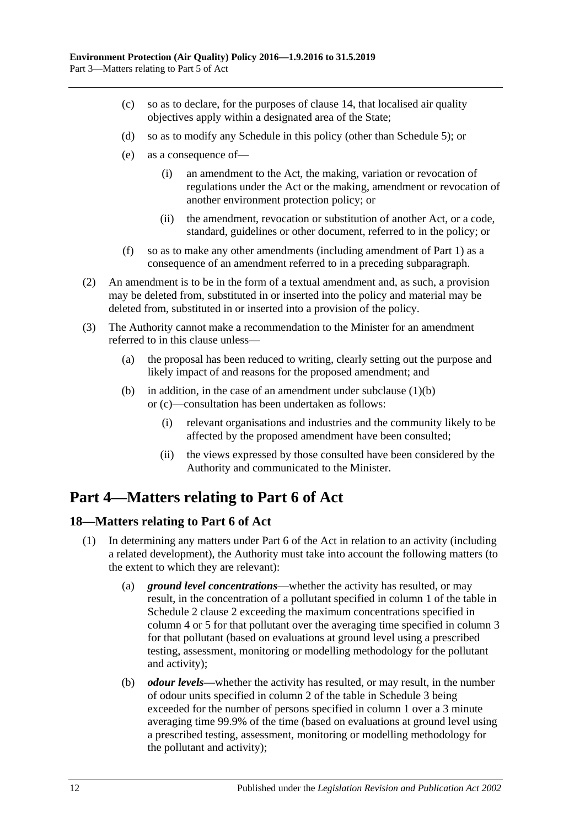- <span id="page-11-2"></span>(c) so as to declare, for the purposes of [clause](#page-9-1) 14, that localised air quality objectives apply within a designated area of the State;
- (d) so as to modify any Schedule in this policy (other than [Schedule](#page-22-0) 5); or
- (e) as a consequence of—
	- (i) an amendment to the Act, the making, variation or revocation of regulations under the Act or the making, amendment or revocation of another environment protection policy; or
	- (ii) the amendment, revocation or substitution of another Act, or a code, standard, guidelines or other document, referred to in the policy; or
- (f) so as to make any other amendments (including amendment of [Part](#page-1-0) 1) as a consequence of an amendment referred to in a preceding subparagraph.
- (2) An amendment is to be in the form of a textual amendment and, as such, a provision may be deleted from, substituted in or inserted into the policy and material may be deleted from, substituted in or inserted into a provision of the policy.
- (3) The Authority cannot make a recommendation to the Minister for an amendment referred to in this clause unless—
	- (a) the proposal has been reduced to writing, clearly setting out the purpose and likely impact of and reasons for the proposed amendment; and
	- (b) in addition, in the case of an amendment under [subclause](#page-10-6)  $(1)(b)$ or [\(c\)—](#page-11-2)consultation has been undertaken as follows:
		- (i) relevant organisations and industries and the community likely to be affected by the proposed amendment have been consulted;
		- (ii) the views expressed by those consulted have been considered by the Authority and communicated to the Minister.

## <span id="page-11-0"></span>**Part 4—Matters relating to Part 6 of Act**

### <span id="page-11-1"></span>**18—Matters relating to Part 6 of Act**

- <span id="page-11-4"></span><span id="page-11-3"></span>(1) In determining any matters under Part 6 of the Act in relation to an activity (including a related development), the Authority must take into account the following matters (to the extent to which they are relevant):
	- (a) *ground level concentrations*—whether the activity has resulted, or may result, in the concentration of a pollutant specified in column 1 of the table in [Schedule](#page-13-2) 2 clause 2 exceeding the maximum concentrations specified in column 4 or 5 for that pollutant over the averaging time specified in column 3 for that pollutant (based on evaluations at ground level using a prescribed testing, assessment, monitoring or modelling methodology for the pollutant and activity);
	- (b) *odour levels*—whether the activity has resulted, or may result, in the number of odour units specified in column 2 of the table in [Schedule](#page-20-0) 3 being exceeded for the number of persons specified in column 1 over a 3 minute averaging time 99.9% of the time (based on evaluations at ground level using a prescribed testing, assessment, monitoring or modelling methodology for the pollutant and activity);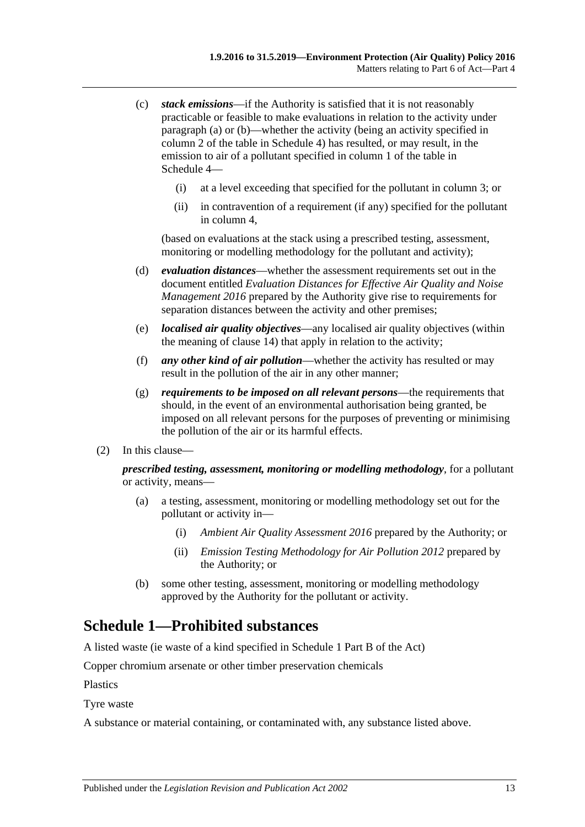- <span id="page-12-1"></span>(c) *stack emissions*—if the Authority is satisfied that it is not reasonably practicable or feasible to make evaluations in relation to the activity under [paragraph](#page-11-3) (a) or [\(b\)—](#page-11-4)whether the activity (being an activity specified in column 2 of the table in [Schedule](#page-20-1) 4) has resulted, or may result, in the emission to air of a pollutant specified in column 1 of the table in [Schedule](#page-20-1) 4—
	- (i) at a level exceeding that specified for the pollutant in column 3; or
	- (ii) in contravention of a requirement (if any) specified for the pollutant in column 4,

(based on evaluations at the stack using a prescribed testing, assessment, monitoring or modelling methodology for the pollutant and activity);

- (d) *evaluation distances*—whether the assessment requirements set out in the document entitled *Evaluation Distances for Effective Air Quality and Noise Management 2016* prepared by the Authority give rise to requirements for separation distances between the activity and other premises;
- (e) *localised air quality objectives*—any localised air quality objectives (within the meaning of [clause](#page-9-1) 14) that apply in relation to the activity;
- (f) *any other kind of air pollution*—whether the activity has resulted or may result in the pollution of the air in any other manner;
- (g) *requirements to be imposed on all relevant persons*—the requirements that should, in the event of an environmental authorisation being granted, be imposed on all relevant persons for the purposes of preventing or minimising the pollution of the air or its harmful effects.
- (2) In this clause—

*prescribed testing, assessment, monitoring or modelling methodology*, for a pollutant or activity, means—

- (a) a testing, assessment, monitoring or modelling methodology set out for the pollutant or activity in—
	- (i) *Ambient Air Quality Assessment 2016* prepared by the Authority; or
	- (ii) *Emission Testing Methodology for Air Pollution 2012* prepared by the Authority; or
- (b) some other testing, assessment, monitoring or modelling methodology approved by the Authority for the pollutant or activity.

## <span id="page-12-0"></span>**Schedule 1—Prohibited substances**

A listed waste (ie waste of a kind specified in Schedule 1 Part B of the Act)

Copper chromium arsenate or other timber preservation chemicals

Plastics

Tyre waste

A substance or material containing, or contaminated with, any substance listed above.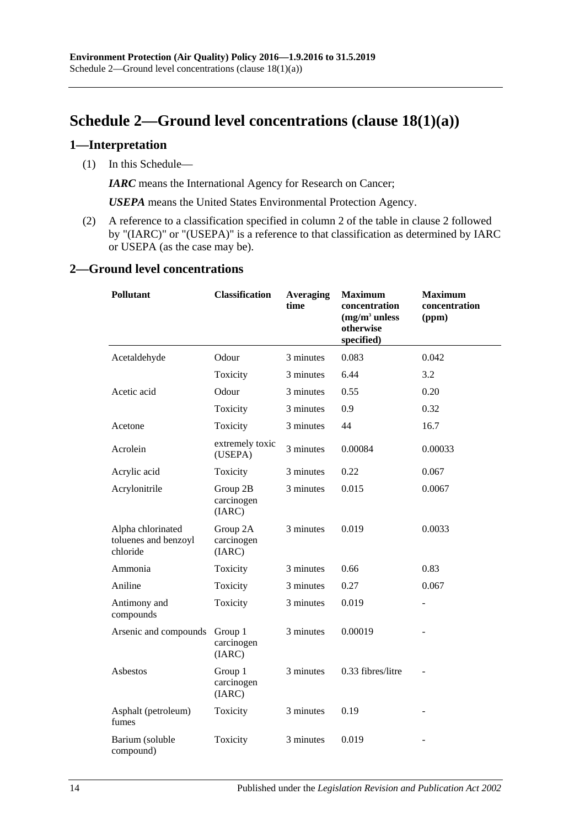## <span id="page-13-0"></span>**Schedule 2—Ground level concentrations (clause [18\(1\)\(a\)\)](#page-11-3)**

#### <span id="page-13-1"></span>**1—Interpretation**

(1) In this Schedule—

*IARC* means the International Agency for Research on Cancer;

*USEPA* means the United States Environmental Protection Agency.

(2) A reference to a classification specified in column 2 of the table in [clause](#page-13-2) 2 followed by "(IARC)" or "(USEPA)" is a reference to that classification as determined by IARC or USEPA (as the case may be).

#### <span id="page-13-2"></span>**2—Ground level concentrations**

| <b>Pollutant</b>                                      | <b>Classification</b>            | <b>Averaging</b><br>time | <b>Maximum</b><br>concentration<br>$(mg/m3$ unless<br>otherwise<br>specified) | <b>Maximum</b><br>concentration<br>(ppm) |  |
|-------------------------------------------------------|----------------------------------|--------------------------|-------------------------------------------------------------------------------|------------------------------------------|--|
| Acetaldehyde                                          | Odour                            | 3 minutes                | 0.083                                                                         | 0.042                                    |  |
|                                                       | Toxicity                         | 3 minutes                | 6.44                                                                          | 3.2                                      |  |
| Acetic acid                                           | Odour                            | 3 minutes                | 0.55                                                                          | 0.20                                     |  |
|                                                       | Toxicity                         | 3 minutes                | 0.9                                                                           | 0.32                                     |  |
| Acetone                                               | Toxicity                         | 3 minutes                | 44                                                                            | 16.7                                     |  |
| Acrolein                                              | extremely toxic<br>(USEPA)       | 3 minutes                | 0.00084                                                                       | 0.00033                                  |  |
| Acrylic acid                                          | Toxicity                         | 3 minutes                | 0.22                                                                          | 0.067                                    |  |
| Acrylonitrile                                         | Group 2B<br>carcinogen<br>(IARC) | 3 minutes                | 0.015                                                                         | 0.0067                                   |  |
| Alpha chlorinated<br>toluenes and benzoyl<br>chloride | Group 2A<br>carcinogen<br>(IARC) | 3 minutes                | 0.019                                                                         | 0.0033                                   |  |
| Ammonia                                               | Toxicity                         | 3 minutes                | 0.66                                                                          | 0.83                                     |  |
| Aniline                                               | Toxicity                         | 3 minutes                | 0.27                                                                          | 0.067                                    |  |
| Antimony and<br>compounds                             | Toxicity                         | 3 minutes                | 0.019                                                                         |                                          |  |
| Arsenic and compounds                                 | Group 1<br>carcinogen<br>(IARC)  | 3 minutes                | 0.00019                                                                       |                                          |  |
| Asbestos                                              | Group 1<br>carcinogen<br>(IARC)  | 3 minutes                | 0.33 fibres/litre                                                             |                                          |  |
| Asphalt (petroleum)<br>fumes                          | Toxicity                         | 3 minutes                | 0.19                                                                          |                                          |  |
| Barium (soluble<br>compound)                          | Toxicity                         | 3 minutes                | 0.019                                                                         |                                          |  |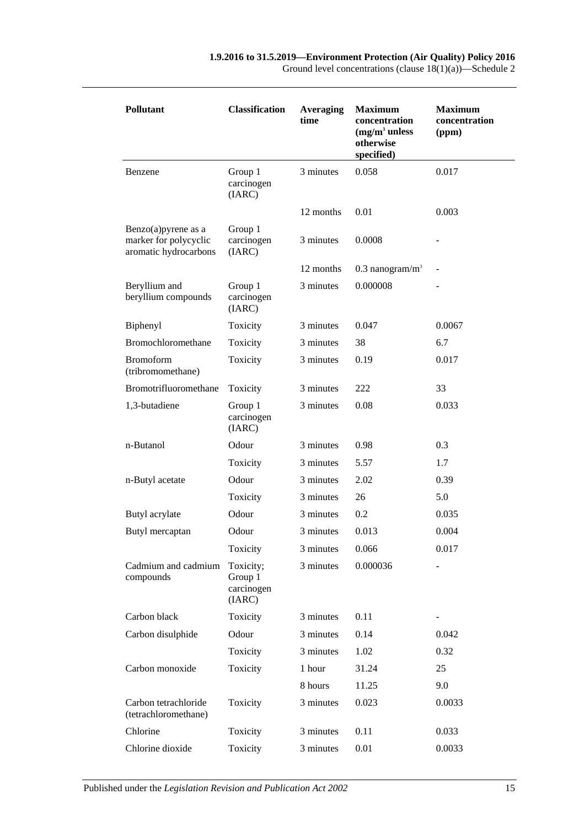| <b>Pollutant</b>                                                          | <b>Classification</b>                        | <b>Averaging</b><br>time | <b>Maximum</b><br>concentration<br>$(mg/m3$ unless<br>otherwise<br>specified) | <b>Maximum</b><br>concentration<br>(ppm) |
|---------------------------------------------------------------------------|----------------------------------------------|--------------------------|-------------------------------------------------------------------------------|------------------------------------------|
| Benzene                                                                   | Group 1<br>carcinogen<br>(IARC)              | 3 minutes                | 0.058                                                                         | 0.017                                    |
|                                                                           |                                              | 12 months                | 0.01                                                                          | 0.003                                    |
| Benzo $(a)$ pyrene as a<br>marker for polycyclic<br>aromatic hydrocarbons | Group 1<br>carcinogen<br>(IARC)              | 3 minutes                | 0.0008                                                                        |                                          |
|                                                                           |                                              | 12 months                | $0.3$ nanogram/m <sup>3</sup>                                                 |                                          |
| Beryllium and<br>beryllium compounds                                      | Group 1<br>carcinogen<br>(IARC)              | 3 minutes                | 0.000008                                                                      |                                          |
| Biphenyl                                                                  | Toxicity                                     | 3 minutes                | 0.047                                                                         | 0.0067                                   |
| Bromochloromethane                                                        | Toxicity                                     | 3 minutes                | 38                                                                            | 6.7                                      |
| <b>Bromoform</b><br>(tribromomethane)                                     | Toxicity                                     | 3 minutes                | 0.19                                                                          | 0.017                                    |
| Bromotrifluoromethane                                                     | Toxicity                                     | 3 minutes                | 222                                                                           | 33                                       |
| 1,3-butadiene                                                             | Group 1<br>carcinogen<br>(IARC)              | 3 minutes                | 0.08                                                                          | 0.033                                    |
| n-Butanol                                                                 | Odour                                        | 3 minutes                | 0.98                                                                          | 0.3                                      |
|                                                                           | Toxicity                                     | 3 minutes                | 5.57                                                                          | 1.7                                      |
| n-Butyl acetate                                                           | Odour                                        | 3 minutes                | 2.02                                                                          | 0.39                                     |
|                                                                           | Toxicity                                     | 3 minutes                | 26                                                                            | 5.0                                      |
| Butyl acrylate                                                            | Odour                                        | 3 minutes                | 0.2                                                                           | 0.035                                    |
| Butyl mercaptan                                                           | Odour                                        | 3 minutes                | 0.013                                                                         | 0.004                                    |
|                                                                           | Toxicity                                     | 3 minutes                | 0.066                                                                         | 0.017                                    |
| Cadmium and cadmium<br>compounds                                          | Toxicity;<br>Group 1<br>carcinogen<br>(IARC) | 3 minutes                | 0.000036                                                                      |                                          |
| Carbon black                                                              | Toxicity                                     | 3 minutes                | 0.11                                                                          | -                                        |
| Carbon disulphide                                                         | Odour                                        | 3 minutes                | 0.14                                                                          | 0.042                                    |
|                                                                           | Toxicity                                     | 3 minutes                | 1.02                                                                          | 0.32                                     |
| Carbon monoxide                                                           | Toxicity                                     | 1 hour                   | 31.24                                                                         | 25                                       |
|                                                                           |                                              | 8 hours                  | 11.25                                                                         | 9.0                                      |
| Carbon tetrachloride<br>(tetrachloromethane)                              | Toxicity                                     | 3 minutes                | 0.023                                                                         | 0.0033                                   |
| Chlorine                                                                  | Toxicity                                     | 3 minutes                | 0.11                                                                          | 0.033                                    |
| Chlorine dioxide                                                          | Toxicity                                     | 3 minutes                | 0.01                                                                          | 0.0033                                   |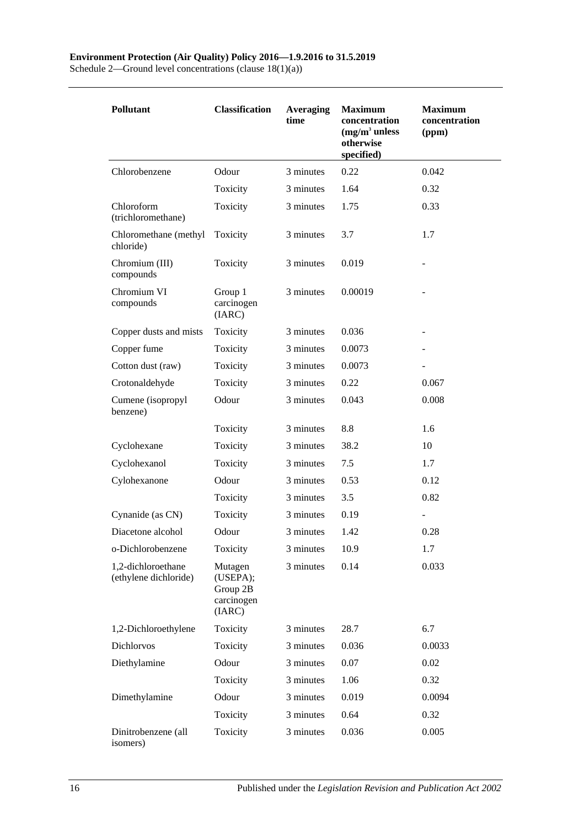#### **Environment Protection (Air Quality) Policy 2016—1.9.2016 to 31.5.2019**

Schedule 2—Ground level concentrations (clause 18(1)(a))

| <b>Pollutant</b>                            | <b>Classification</b>                                   | <b>Averaging</b><br>time | <b>Maximum</b><br>concentration<br>$(mg/m3$ unless<br>otherwise<br>specified) | <b>Maximum</b><br>concentration<br>(ppm) |
|---------------------------------------------|---------------------------------------------------------|--------------------------|-------------------------------------------------------------------------------|------------------------------------------|
| Chlorobenzene                               | Odour                                                   | 3 minutes                | 0.22                                                                          | 0.042                                    |
|                                             | Toxicity                                                | 3 minutes                | 1.64                                                                          | 0.32                                     |
| Chloroform<br>(trichloromethane)            | Toxicity                                                | 3 minutes                | 1.75                                                                          | 0.33                                     |
| Chloromethane (methyl<br>chloride)          | Toxicity                                                | 3 minutes                | 3.7                                                                           | 1.7                                      |
| Chromium (III)<br>compounds                 | Toxicity                                                | 3 minutes                | 0.019                                                                         |                                          |
| Chromium VI<br>compounds                    | Group 1<br>carcinogen<br>(IARC)                         | 3 minutes                | 0.00019                                                                       |                                          |
| Copper dusts and mists                      | Toxicity                                                | 3 minutes                | 0.036                                                                         |                                          |
| Copper fume                                 | Toxicity                                                | 3 minutes                | 0.0073                                                                        |                                          |
| Cotton dust (raw)                           | Toxicity                                                | 3 minutes                | 0.0073                                                                        |                                          |
| Crotonaldehyde                              | Toxicity                                                | 3 minutes                | 0.22                                                                          | 0.067                                    |
| Cumene (isopropyl<br>benzene)               | Odour                                                   | 3 minutes                | 0.043                                                                         | 0.008                                    |
|                                             | Toxicity                                                | 3 minutes                | 8.8                                                                           | 1.6                                      |
| Cyclohexane                                 | Toxicity                                                | 3 minutes                | 38.2                                                                          | 10                                       |
| Cyclohexanol                                | Toxicity                                                | 3 minutes                | 7.5                                                                           | 1.7                                      |
| Cylohexanone                                | Odour                                                   | 3 minutes                | 0.53                                                                          | 0.12                                     |
|                                             | Toxicity                                                | 3 minutes                | 3.5                                                                           | 0.82                                     |
| Cynanide (as CN)                            | Toxicity                                                | 3 minutes                | 0.19                                                                          |                                          |
| Diacetone alcohol                           | Odour                                                   | 3 minutes                | 1.42                                                                          | 0.28                                     |
| o-Dichlorobenzene                           | Toxicity                                                | 3 minutes                | 10.9                                                                          | 1.7                                      |
| 1,2-dichloroethane<br>(ethylene dichloride) | Mutagen<br>(USEPA);<br>Group 2B<br>carcinogen<br>(IARC) | 3 minutes                | 0.14                                                                          | 0.033                                    |
| 1,2-Dichloroethylene                        | Toxicity                                                | 3 minutes                | 28.7                                                                          | 6.7                                      |
| Dichlorvos                                  | Toxicity                                                | 3 minutes                | 0.036                                                                         | 0.0033                                   |
| Diethylamine                                | Odour                                                   | 3 minutes                | 0.07                                                                          | 0.02                                     |
|                                             | Toxicity                                                | 3 minutes                | 1.06                                                                          | 0.32                                     |
| Dimethylamine                               | Odour                                                   | 3 minutes                | 0.019                                                                         | 0.0094                                   |
|                                             | Toxicity                                                | 3 minutes                | 0.64                                                                          | 0.32                                     |
| Dinitrobenzene (all<br>isomers)             | Toxicity                                                | 3 minutes                | 0.036                                                                         | 0.005                                    |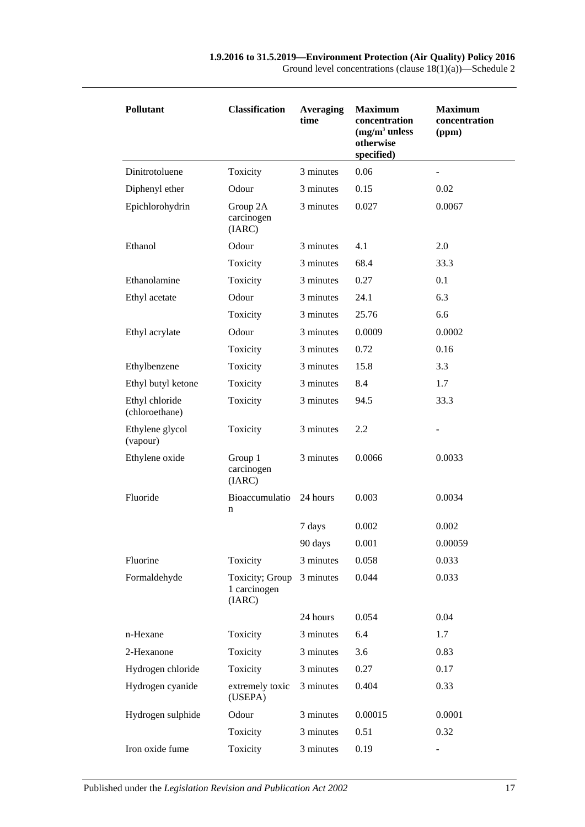| <b>Pollutant</b>                 | <b>Classification</b>                     | <b>Averaging</b><br>time | <b>Maximum</b><br>concentration<br>$(mg/m3$ unless<br>otherwise<br>specified) | <b>Maximum</b><br>concentration<br>(ppm) |
|----------------------------------|-------------------------------------------|--------------------------|-------------------------------------------------------------------------------|------------------------------------------|
| Dinitrotoluene                   | Toxicity                                  | 3 minutes                | 0.06                                                                          |                                          |
| Diphenyl ether                   | Odour                                     | 3 minutes                | 0.15                                                                          | 0.02                                     |
| Epichlorohydrin                  | Group 2A<br>carcinogen<br>(IARC)          | 3 minutes                | 0.027                                                                         | 0.0067                                   |
| Ethanol                          | Odour                                     | 3 minutes                | 4.1                                                                           | 2.0                                      |
|                                  | Toxicity                                  | 3 minutes                | 68.4                                                                          | 33.3                                     |
| Ethanolamine                     | Toxicity                                  | 3 minutes                | 0.27                                                                          | 0.1                                      |
| Ethyl acetate                    | Odour                                     | 3 minutes                | 24.1                                                                          | 6.3                                      |
|                                  | Toxicity                                  | 3 minutes                | 25.76                                                                         | 6.6                                      |
| Ethyl acrylate                   | Odour                                     | 3 minutes                | 0.0009                                                                        | 0.0002                                   |
|                                  | Toxicity                                  | 3 minutes                | 0.72                                                                          | 0.16                                     |
| Ethylbenzene                     | Toxicity                                  | 3 minutes                | 15.8                                                                          | 3.3                                      |
| Ethyl butyl ketone               | Toxicity                                  | 3 minutes                | 8.4                                                                           | 1.7                                      |
| Ethyl chloride<br>(chloroethane) | Toxicity                                  | 3 minutes                | 94.5                                                                          | 33.3                                     |
| Ethylene glycol<br>(vapour)      | Toxicity                                  | 3 minutes                | 2.2                                                                           |                                          |
| Ethylene oxide                   | Group 1<br>carcinogen<br>(IARC)           | 3 minutes                | 0.0066                                                                        | 0.0033                                   |
| Fluoride                         | Bioaccumulatio<br>n                       | 24 hours                 | 0.003                                                                         | 0.0034                                   |
|                                  |                                           | 7 days                   | 0.002                                                                         | 0.002                                    |
|                                  |                                           | 90 days                  | 0.001                                                                         | 0.00059                                  |
| Fluorine                         | Toxicity                                  | 3 minutes                | 0.058                                                                         | 0.033                                    |
| Formaldehyde                     | Toxicity; Group<br>1 carcinogen<br>(IARC) | 3 minutes                | 0.044                                                                         | 0.033                                    |
|                                  |                                           | 24 hours                 | 0.054                                                                         | 0.04                                     |
| n-Hexane                         | Toxicity                                  | 3 minutes                | 6.4                                                                           | 1.7                                      |
| 2-Hexanone                       | Toxicity                                  | 3 minutes                | 3.6                                                                           | 0.83                                     |
| Hydrogen chloride                | Toxicity                                  | 3 minutes                | 0.27                                                                          | 0.17                                     |
| Hydrogen cyanide                 | extremely toxic<br>(USEPA)                | 3 minutes                | 0.404                                                                         | 0.33                                     |
| Hydrogen sulphide                | Odour                                     | 3 minutes                | 0.00015                                                                       | 0.0001                                   |
|                                  | Toxicity                                  | 3 minutes                | 0.51                                                                          | 0.32                                     |
| Iron oxide fume                  | Toxicity                                  | 3 minutes                | 0.19                                                                          |                                          |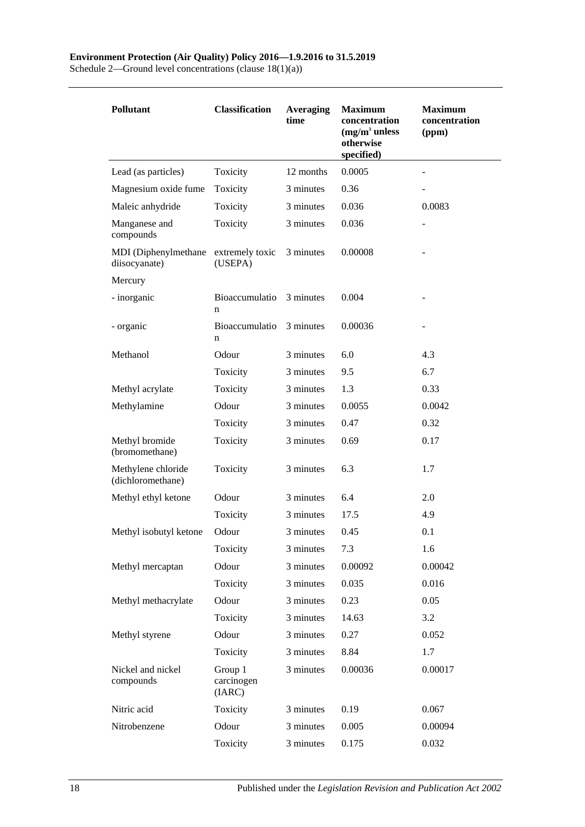Schedule 2—Ground level concentrations (clause 18(1)(a))

| <b>Pollutant</b>                        | <b>Classification</b>           | <b>Averaging</b><br>time | <b>Maximum</b><br>concentration<br>$(mg/m3$ unless<br>otherwise<br>specified) | <b>Maximum</b><br>concentration<br>(ppm) |
|-----------------------------------------|---------------------------------|--------------------------|-------------------------------------------------------------------------------|------------------------------------------|
| Lead (as particles)                     | Toxicity                        | 12 months                | 0.0005                                                                        |                                          |
| Magnesium oxide fume                    | Toxicity                        | 3 minutes                | 0.36                                                                          |                                          |
| Maleic anhydride                        | Toxicity                        | 3 minutes                | 0.036                                                                         | 0.0083                                   |
| Manganese and<br>compounds              | Toxicity                        | 3 minutes                | 0.036                                                                         |                                          |
| MDI (Diphenylmethane<br>diisocyanate)   | extremely toxic<br>(USEPA)      | 3 minutes                | 0.00008                                                                       |                                          |
| Mercury                                 |                                 |                          |                                                                               |                                          |
| - inorganic                             | Bioaccumulatio<br>n             | 3 minutes                | 0.004                                                                         |                                          |
| - organic                               | Bioaccumulatio<br>n             | 3 minutes                | 0.00036                                                                       |                                          |
| Methanol                                | Odour                           | 3 minutes                | 6.0                                                                           | 4.3                                      |
|                                         | Toxicity                        | 3 minutes                | 9.5                                                                           | 6.7                                      |
| Methyl acrylate                         | Toxicity                        | 3 minutes                | 1.3                                                                           | 0.33                                     |
| Methylamine                             | Odour                           | 3 minutes                | 0.0055                                                                        | 0.0042                                   |
|                                         | Toxicity                        | 3 minutes                | 0.47                                                                          | 0.32                                     |
| Methyl bromide<br>(bromomethane)        | Toxicity                        | 3 minutes                | 0.69                                                                          | 0.17                                     |
| Methylene chloride<br>(dichloromethane) | Toxicity                        | 3 minutes                | 6.3                                                                           | 1.7                                      |
| Methyl ethyl ketone                     | Odour                           | 3 minutes                | 6.4                                                                           | 2.0                                      |
|                                         | Toxicity                        | 3 minutes                | 17.5                                                                          | 4.9                                      |
| Methyl isobutyl ketone                  | Odour                           | 3 minutes                | 0.45                                                                          | 0.1                                      |
|                                         | Toxicity                        | 3 minutes                | 7.3                                                                           | 1.6                                      |
| Methyl mercaptan                        | Odour                           | 3 minutes                | 0.00092                                                                       | 0.00042                                  |
|                                         | Toxicity                        | 3 minutes                | 0.035                                                                         | 0.016                                    |
| Methyl methacrylate                     | Odour                           | 3 minutes                | 0.23                                                                          | 0.05                                     |
|                                         | Toxicity                        | 3 minutes                | 14.63                                                                         | 3.2                                      |
| Methyl styrene                          | Odour                           | 3 minutes                | 0.27                                                                          | 0.052                                    |
|                                         | Toxicity                        | 3 minutes                | 8.84                                                                          | 1.7                                      |
| Nickel and nickel<br>compounds          | Group 1<br>carcinogen<br>(IARC) | 3 minutes                | 0.00036                                                                       | 0.00017                                  |
| Nitric acid                             | Toxicity                        | 3 minutes                | 0.19                                                                          | 0.067                                    |
| Nitrobenzene                            | Odour                           | 3 minutes                | 0.005                                                                         | 0.00094                                  |
|                                         | Toxicity                        | 3 minutes                | 0.175                                                                         | 0.032                                    |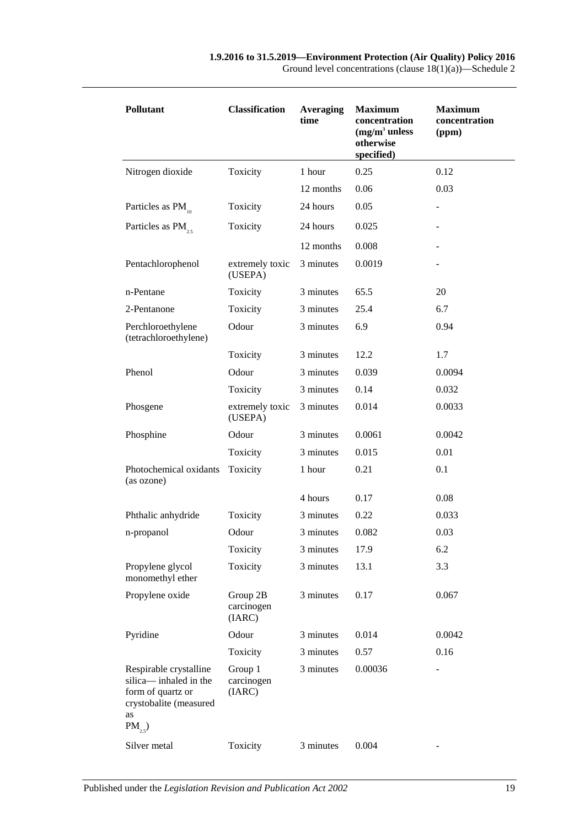| <b>Pollutant</b>                                                                                                    | <b>Classification</b>            | <b>Averaging</b><br>time | <b>Maximum</b><br>concentration<br>$(mg/m3$ unless<br>otherwise<br>specified) | <b>Maximum</b><br>concentration<br>(ppm) |  |
|---------------------------------------------------------------------------------------------------------------------|----------------------------------|--------------------------|-------------------------------------------------------------------------------|------------------------------------------|--|
| Nitrogen dioxide                                                                                                    | Toxicity                         | 1 hour                   | 0.25                                                                          | 0.12                                     |  |
|                                                                                                                     |                                  | 12 months                | 0.06                                                                          | 0.03                                     |  |
| Particles as PM                                                                                                     | Toxicity                         | 24 hours                 | 0.05                                                                          |                                          |  |
| Particles as PM <sub>25</sub>                                                                                       | Toxicity                         | 24 hours                 | 0.025                                                                         |                                          |  |
|                                                                                                                     |                                  | 12 months                | 0.008                                                                         |                                          |  |
| Pentachlorophenol                                                                                                   | extremely toxic<br>(USEPA)       | 3 minutes                | 0.0019                                                                        |                                          |  |
| n-Pentane                                                                                                           | Toxicity                         | 3 minutes                | 65.5                                                                          | 20                                       |  |
| 2-Pentanone                                                                                                         | Toxicity                         | 3 minutes                | 25.4                                                                          | 6.7                                      |  |
| Perchloroethylene<br>(tetrachloroethylene)                                                                          | Odour                            | 3 minutes                | 6.9                                                                           | 0.94                                     |  |
|                                                                                                                     | Toxicity                         | 3 minutes                | 12.2                                                                          | 1.7                                      |  |
| Phenol                                                                                                              | Odour                            | 3 minutes                | 0.039                                                                         | 0.0094                                   |  |
|                                                                                                                     | Toxicity                         | 3 minutes                | 0.14                                                                          | 0.032                                    |  |
| Phosgene                                                                                                            | extremely toxic<br>(USEPA)       | 3 minutes                | 0.014                                                                         | 0.0033                                   |  |
| Phosphine                                                                                                           | Odour                            | 3 minutes                | 0.0061                                                                        | 0.0042                                   |  |
|                                                                                                                     | Toxicity                         | 3 minutes                | 0.015                                                                         | 0.01                                     |  |
| Photochemical oxidants<br>(as ozone)                                                                                | Toxicity                         | 1 hour                   | 0.21                                                                          | 0.1                                      |  |
|                                                                                                                     |                                  | 4 hours                  | 0.17                                                                          | 0.08                                     |  |
| Phthalic anhydride                                                                                                  | Toxicity                         | 3 minutes                | 0.22                                                                          | 0.033                                    |  |
| n-propanol                                                                                                          | Odour                            | 3 minutes                | 0.082                                                                         | 0.03                                     |  |
|                                                                                                                     | Toxicity                         | 3 minutes                | 17.9                                                                          | 6.2                                      |  |
| Propylene glycol<br>monomethyl ether                                                                                | Toxicity                         | 3 minutes                | 13.1                                                                          | 3.3                                      |  |
| Propylene oxide                                                                                                     | Group 2B<br>carcinogen<br>(IARC) | 3 minutes                | 0.17                                                                          | 0.067                                    |  |
| Pyridine                                                                                                            | Odour                            | 3 minutes                | 0.014                                                                         | 0.0042                                   |  |
|                                                                                                                     | Toxicity                         | 3 minutes                | 0.57                                                                          | 0.16                                     |  |
| Respirable crystalline<br>silica— inhaled in the<br>form of quartz or<br>crystobalite (measured<br>as<br>$PM_{2,5}$ | Group 1<br>carcinogen<br>(IARC)  | 3 minutes                | 0.00036                                                                       | ÷                                        |  |
| Silver metal                                                                                                        | Toxicity                         | 3 minutes                | 0.004                                                                         |                                          |  |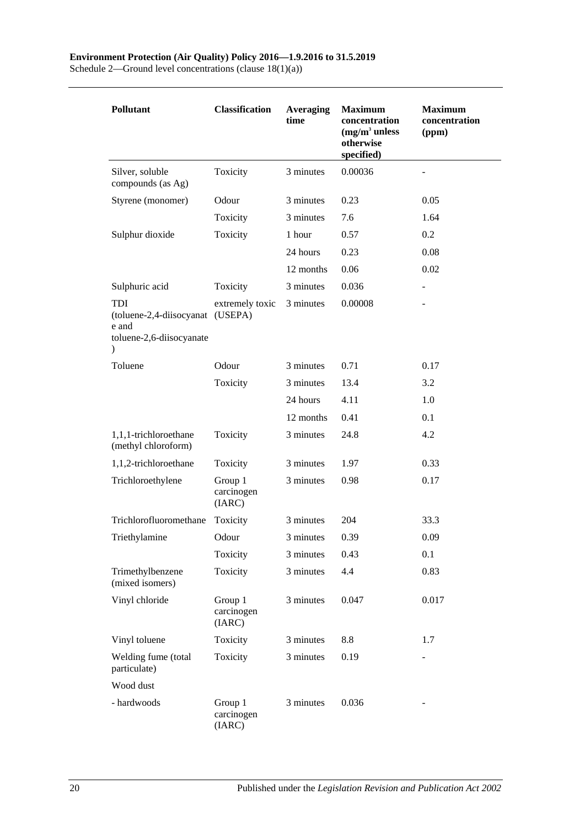Schedule 2—Ground level concentrations (clause 18(1)(a))

| <b>Pollutant</b>                                                                                     | <b>Classification</b>           | <b>Averaging</b><br>time | <b>Maximum</b><br>concentration<br>$(mg/m3$ unless<br>otherwise<br>specified) | <b>Maximum</b><br>concentration<br>(ppm) |
|------------------------------------------------------------------------------------------------------|---------------------------------|--------------------------|-------------------------------------------------------------------------------|------------------------------------------|
| Silver, soluble<br>compounds (as Ag)                                                                 | Toxicity                        | 3 minutes                | 0.00036                                                                       |                                          |
| Styrene (monomer)                                                                                    | Odour                           | 3 minutes                | 0.23                                                                          | 0.05                                     |
|                                                                                                      | Toxicity                        | 3 minutes                | 7.6                                                                           | 1.64                                     |
| Sulphur dioxide                                                                                      | Toxicity                        | 1 hour                   | 0.57                                                                          | 0.2                                      |
|                                                                                                      |                                 | 24 hours                 | 0.23                                                                          | 0.08                                     |
|                                                                                                      |                                 | 12 months                | 0.06                                                                          | 0.02                                     |
| Sulphuric acid                                                                                       | Toxicity                        | 3 minutes                | 0.036                                                                         | $\blacksquare$                           |
| <b>TDI</b><br>(toluene-2,4-diisocyanat (USEPA)<br>e and<br>toluene-2,6-diisocyanate<br>$\mathcal{E}$ | extremely toxic                 | 3 minutes                | 0.00008                                                                       |                                          |
| Toluene                                                                                              | Odour                           | 3 minutes                | 0.71                                                                          | 0.17                                     |
|                                                                                                      | Toxicity                        | 3 minutes                | 13.4                                                                          | 3.2                                      |
|                                                                                                      |                                 | 24 hours                 | 4.11                                                                          | 1.0                                      |
|                                                                                                      |                                 | 12 months                | 0.41                                                                          | 0.1                                      |
| 1,1,1-trichloroethane<br>(methyl chloroform)                                                         | Toxicity                        | 3 minutes                | 24.8                                                                          | 4.2                                      |
| 1,1,2-trichloroethane                                                                                | Toxicity                        | 3 minutes                | 1.97                                                                          | 0.33                                     |
| Trichloroethylene                                                                                    | Group 1<br>carcinogen<br>(IARC) | 3 minutes                | 0.98                                                                          | 0.17                                     |
| Trichlorofluoromethane                                                                               | Toxicity                        | 3 minutes                | 204                                                                           | 33.3                                     |
| Triethylamine                                                                                        | Odour                           | 3 minutes                | 0.39                                                                          | 0.09                                     |
|                                                                                                      | Toxicity                        | 3 minutes                | 0.43                                                                          | 0.1                                      |
| Trimethylbenzene<br>(mixed isomers)                                                                  | Toxicity                        | 3 minutes                | 4.4                                                                           | 0.83                                     |
| Vinyl chloride                                                                                       | Group 1<br>carcinogen<br>(IARC) | 3 minutes                | 0.047                                                                         | 0.017                                    |
| Vinyl toluene                                                                                        | Toxicity                        | 3 minutes                | 8.8                                                                           | 1.7                                      |
| Welding fume (total<br>particulate)                                                                  | Toxicity                        | 3 minutes                | 0.19                                                                          | -                                        |
| Wood dust                                                                                            |                                 |                          |                                                                               |                                          |
| - hardwoods                                                                                          | Group 1<br>carcinogen<br>(IARC) | 3 minutes                | 0.036                                                                         |                                          |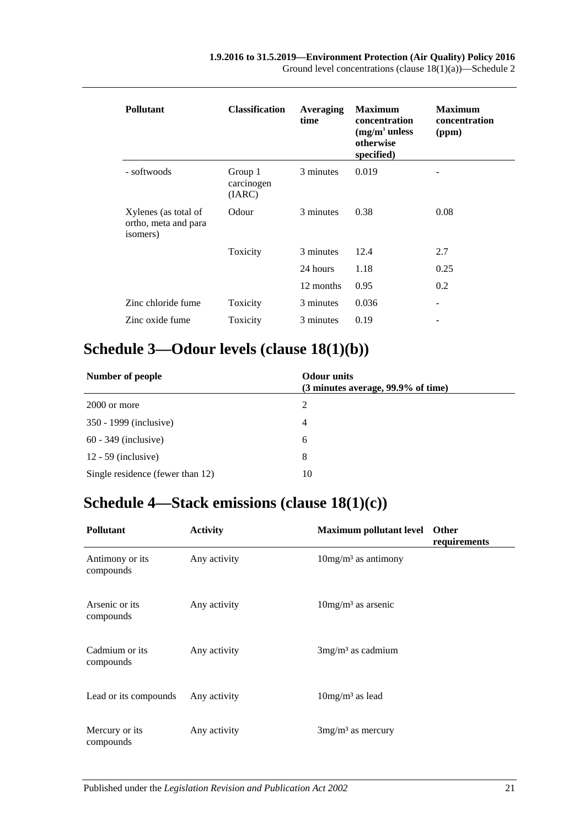| <b>Pollutant</b>                                         | <b>Classification</b>           | <b>Averaging</b><br>time | <b>Maximum</b><br>concentration<br>$(mg/m3$ unless<br>otherwise<br>specified) | <b>Maximum</b><br>concentration<br>(ppm) |
|----------------------------------------------------------|---------------------------------|--------------------------|-------------------------------------------------------------------------------|------------------------------------------|
| - softwoods                                              | Group 1<br>carcinogen<br>(IARC) | 3 minutes                | 0.019                                                                         |                                          |
| Xylenes (as total of<br>ortho, meta and para<br>isomers) | Odour                           | 3 minutes                | 0.38                                                                          | 0.08                                     |
|                                                          | Toxicity                        | 3 minutes                | 12.4                                                                          | 2.7                                      |
|                                                          |                                 | 24 hours                 | 1.18                                                                          | 0.25                                     |
|                                                          |                                 | 12 months                | 0.95                                                                          | 0.2                                      |
| Zinc chloride fume                                       | Toxicity                        | 3 minutes                | 0.036                                                                         | -                                        |
| Zinc oxide fume                                          | Toxicity                        | 3 minutes                | 0.19                                                                          |                                          |

## <span id="page-20-0"></span>**Schedule 3—Odour levels (clause [18\(1\)\(b\)\)](#page-11-4)**

| Number of people                 | <b>Odour</b> units<br>(3 minutes average, 99.9% of time) |  |
|----------------------------------|----------------------------------------------------------|--|
| 2000 or more                     | 2                                                        |  |
| 350 - 1999 (inclusive)           | 4                                                        |  |
| $60 - 349$ (inclusive)           | 6                                                        |  |
| $12 - 59$ (inclusive)            | 8                                                        |  |
| Single residence (fewer than 12) | 10                                                       |  |

# <span id="page-20-1"></span>**Schedule 4—Stack emissions (clause [18\(1\)\(c\)\)](#page-12-1)**

| <b>Pollutant</b>             | <b>Activity</b> | <b>Maximum pollutant level</b>     | Other<br>requirements |
|------------------------------|-----------------|------------------------------------|-----------------------|
| Antimony or its<br>compounds | Any activity    | $10$ mg/m <sup>3</sup> as antimony |                       |
| Arsenic or its<br>compounds  | Any activity    | $10mg/m3$ as arsenic               |                       |
| Cadmium or its<br>compounds  | Any activity    | $3mg/m3$ as cadmium                |                       |
| Lead or its compounds        | Any activity    | $10mg/m3$ as lead                  |                       |
| Mercury or its<br>compounds  | Any activity    | $3mg/m3$ as mercury                |                       |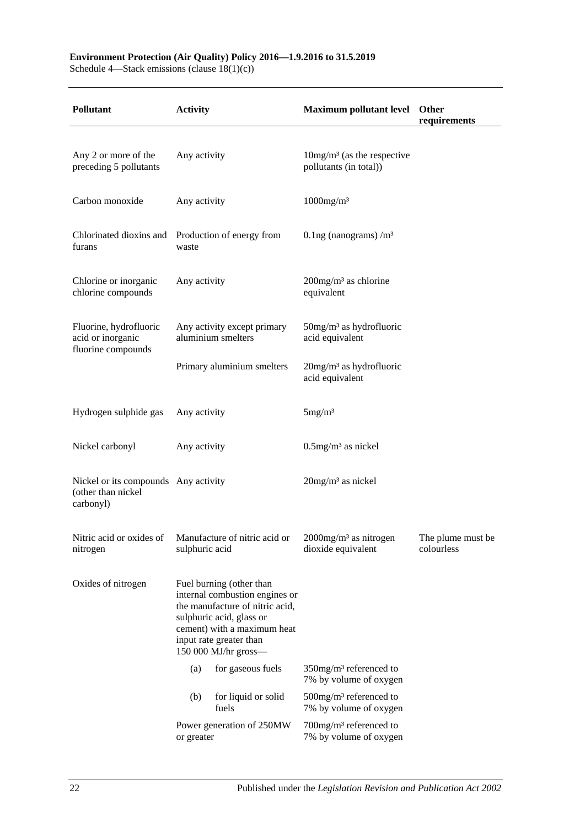#### **Environment Protection (Air Quality) Policy 2016—1.9.2016 to 31.5.2019**

Schedule 4—Stack emissions (clause 18(1)(c))

| <b>Pollutant</b>                                                        | <b>Activity</b>                                                                                                                                                                                             |                                                   | Maximum pollutant level Other                                      | requirements                    |
|-------------------------------------------------------------------------|-------------------------------------------------------------------------------------------------------------------------------------------------------------------------------------------------------------|---------------------------------------------------|--------------------------------------------------------------------|---------------------------------|
|                                                                         |                                                                                                                                                                                                             |                                                   |                                                                    |                                 |
| Any 2 or more of the<br>preceding 5 pollutants                          | Any activity                                                                                                                                                                                                |                                                   | $10\,\mathrm{mg/m^3}$ (as the respective<br>pollutants (in total)) |                                 |
| Carbon monoxide                                                         | Any activity                                                                                                                                                                                                |                                                   | $1000$ mg/m <sup>3</sup>                                           |                                 |
| Chlorinated dioxins and Production of energy from<br>furans             | waste                                                                                                                                                                                                       |                                                   | 0.1ng (nanograms) $/m3$                                            |                                 |
| Chlorine or inorganic<br>chlorine compounds                             | Any activity                                                                                                                                                                                                |                                                   | $200$ mg/m <sup>3</sup> as chlorine<br>equivalent                  |                                 |
| Fluorine, hydrofluoric<br>acid or inorganic<br>fluorine compounds       |                                                                                                                                                                                                             | Any activity except primary<br>aluminium smelters | $50$ mg/m <sup>3</sup> as hydrofluoric<br>acid equivalent          |                                 |
|                                                                         | Primary aluminium smelters                                                                                                                                                                                  |                                                   | $20$ mg/m <sup>3</sup> as hydrofluoric<br>acid equivalent          |                                 |
| Hydrogen sulphide gas                                                   | Any activity                                                                                                                                                                                                |                                                   | 5mg/m <sup>3</sup>                                                 |                                 |
| Nickel carbonyl                                                         | Any activity                                                                                                                                                                                                |                                                   | $0.5$ mg/m <sup>3</sup> as nickel                                  |                                 |
| Nickel or its compounds Any activity<br>(other than nickel<br>carbonyl) |                                                                                                                                                                                                             |                                                   | $20$ mg/m <sup>3</sup> as nickel                                   |                                 |
| Nitric acid or oxides of<br>nitrogen                                    | sulphuric acid                                                                                                                                                                                              | Manufacture of nitric acid or                     | 2000mg/m <sup>3</sup> as nitrogen<br>dioxide equivalent            | The plume must be<br>colourless |
| Oxides of nitrogen                                                      | Fuel burning (other than<br>internal combustion engines or<br>the manufacture of nitric acid,<br>sulphuric acid, glass or<br>cement) with a maximum heat<br>input rate greater than<br>150 000 MJ/hr gross- |                                                   |                                                                    |                                 |
|                                                                         | (a)                                                                                                                                                                                                         | for gaseous fuels                                 | $350$ mg/m <sup>3</sup> referenced to<br>7% by volume of oxygen    |                                 |
|                                                                         | (b)                                                                                                                                                                                                         | for liquid or solid<br>fuels                      | $500$ mg/m <sup>3</sup> referenced to<br>7% by volume of oxygen    |                                 |
|                                                                         | or greater                                                                                                                                                                                                  | Power generation of 250MW                         | 700mg/m <sup>3</sup> referenced to<br>7% by volume of oxygen       |                                 |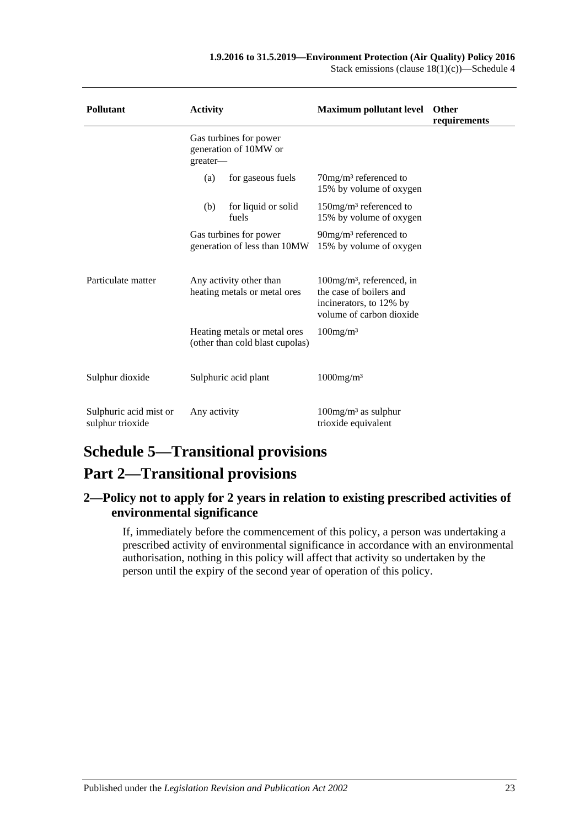| <b>Pollutant</b>                           | <b>Activity</b>                                             |                                                                 | <b>Maximum pollutant level</b>                                                                                             | <b>Other</b><br>requirements |
|--------------------------------------------|-------------------------------------------------------------|-----------------------------------------------------------------|----------------------------------------------------------------------------------------------------------------------------|------------------------------|
|                                            | Gas turbines for power<br>generation of 10MW or<br>greater- |                                                                 |                                                                                                                            |                              |
|                                            | (a)                                                         | for gaseous fuels                                               | $70$ mg/m <sup>3</sup> referenced to<br>15% by volume of oxygen                                                            |                              |
|                                            | (b)<br>fuels                                                | for liquid or solid                                             | $150$ mg/m <sup>3</sup> referenced to<br>15% by volume of oxygen                                                           |                              |
|                                            | Gas turbines for power<br>generation of less than 10MW      |                                                                 | $90mg/m3$ referenced to<br>15% by volume of oxygen                                                                         |                              |
| Particulate matter                         | Any activity other than<br>heating metals or metal ores     |                                                                 | $100$ mg/m <sup>3</sup> , referenced, in<br>the case of boilers and<br>incinerators, to 12% by<br>volume of carbon dioxide |                              |
|                                            |                                                             | Heating metals or metal ores<br>(other than cold blast cupolas) | $100$ mg/m <sup>3</sup>                                                                                                    |                              |
| Sulphur dioxide                            | Sulphuric acid plant                                        |                                                                 | $1000$ mg/m <sup>3</sup>                                                                                                   |                              |
| Sulphuric acid mist or<br>sulphur trioxide | Any activity                                                |                                                                 | $100mg/m3$ as sulphur<br>trioxide equivalent                                                                               |                              |

# <span id="page-22-0"></span>**Schedule 5—Transitional provisions**

## **Part 2—Transitional provisions**

## <span id="page-22-1"></span>**2—Policy not to apply for 2 years in relation to existing prescribed activities of environmental significance**

If, immediately before the commencement of this policy, a person was undertaking a prescribed activity of environmental significance in accordance with an environmental authorisation, nothing in this policy will affect that activity so undertaken by the person until the expiry of the second year of operation of this policy.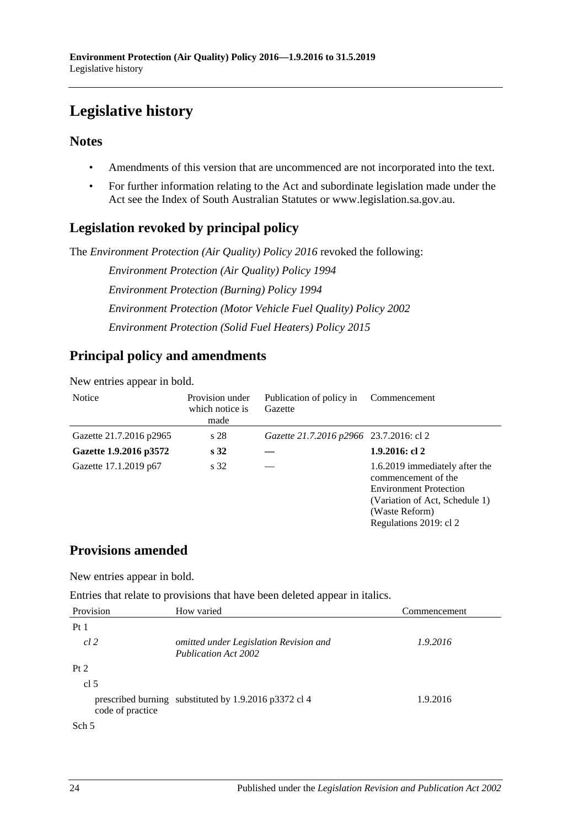# <span id="page-23-0"></span>**Legislative history**

## **Notes**

- Amendments of this version that are uncommenced are not incorporated into the text.
- For further information relating to the Act and subordinate legislation made under the Act see the Index of South Australian Statutes or www.legislation.sa.gov.au.

## **Legislation revoked by principal policy**

The *Environment Protection (Air Quality) Policy 2016* revoked the following:

*Environment Protection (Air Quality) Policy 1994 Environment Protection (Burning) Policy 1994 Environment Protection (Motor Vehicle Fuel Quality) Policy 2002 Environment Protection (Solid Fuel Heaters) Policy 2015*

## **Principal policy and amendments**

New entries appear in bold.

| <b>Notice</b>           | Provision under<br>which notice is<br>made | Publication of policy in<br>Gazette     | Commencement                                                                                                                                                         |
|-------------------------|--------------------------------------------|-----------------------------------------|----------------------------------------------------------------------------------------------------------------------------------------------------------------------|
| Gazette 21.7.2016 p2965 | s 28                                       | Gazette 21.7.2016 p2966 23.7.2016: cl 2 |                                                                                                                                                                      |
| Gazette 1.9.2016 p3572  | s <sub>32</sub>                            |                                         | 1.9.2016: cl 2                                                                                                                                                       |
| Gazette 17.1.2019 p67   | s 32                                       |                                         | 1.6.2019 immediately after the<br>commencement of the<br><b>Environment Protection</b><br>(Variation of Act, Schedule 1)<br>(Waste Reform)<br>Regulations 2019: cl 2 |

## **Provisions amended**

New entries appear in bold.

Entries that relate to provisions that have been deleted appear in italics.

| Provision        | How varied                                                            | Commencement |
|------------------|-----------------------------------------------------------------------|--------------|
| Pt1              |                                                                       |              |
| cl 2             | omitted under Legislation Revision and<br><b>Publication Act 2002</b> | 1.9.2016     |
| Pt 2             |                                                                       |              |
| cl <sub>5</sub>  |                                                                       |              |
| code of practice | prescribed burning substituted by 1.9.2016 p3372 cl 4                 | 1.9.2016     |
| Sch <sub>5</sub> |                                                                       |              |